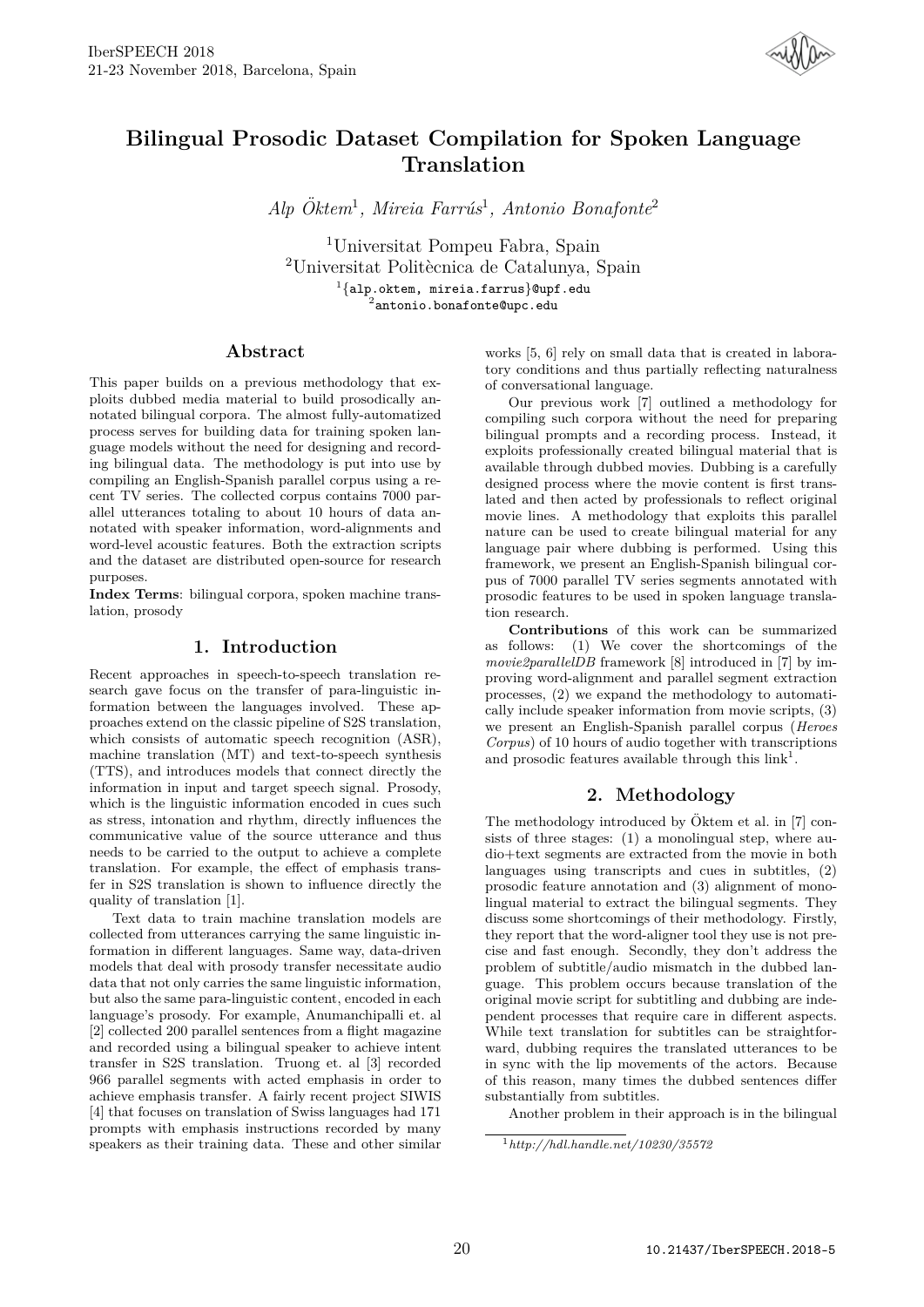

# **Bilingual Prosodic Dataset Compilation for Spoken Language Translation**

 $Alp$  Öktem<sup>1</sup>, Mireia Farrús<sup>1</sup>, Antonio Bonafonte<sup>2</sup>

<sup>1</sup>Universitat Pompeu Fabra, Spain <sup>2</sup>Universitat Politècnica de Catalunya, Spain

<sup>1</sup>{alp.oktem, mireia.farrus}@upf.edu<br><sup>2</sup>antonio.bonafonte@upc.edu

# **Abstract**

This paper builds on a previous methodology that exploits dubbed media material to build prosodically annotated bilingual corpora. The almost fully-automatized process serves for building data for training spoken language models without the need for designing and recording bilingual data. The methodology is put into use by compiling an English-Spanish parallel corpus using a recent TV series. The collected corpus contains 7000 parallel utterances totaling to about 10 hours of data annotated with speaker information, word-alignments and word-level acoustic features. Both the extraction scripts and the dataset are distributed open-source for research purposes.

**Index Terms**: bilingual corpora, spoken machine translation, prosody

# **1. Introduction**

Recent approaches in speech-to-speech translation research gave focus on the transfer of para-linguistic information between the languages involved. These approaches extend on the classic pipeline of S2S translation, which consists of automatic speech recognition (ASR), machine translation (MT) and text-to-speech synthesis (TTS), and introduces models that connect directly the information in input and target speech signal. Prosody, which is the linguistic information encoded in cues such as stress, intonation and rhythm, directly influences the communicative value of the source utterance and thus needs to be carried to the output to achieve a complete translation. For example, the effect of emphasis transfer in S2S translation is shown to influence directly the quality of translation [1].

Text data to train machine translation models are collected from utterances carrying the same linguistic information in different languages. Same way, data-driven models that deal with prosody transfer necessitate audio data that not only carries the same linguistic information, but also the same para-linguistic content, encoded in each language's prosody. For example, Anumanchipalli et. al [2] collected 200 parallel sentences from a flight magazine and recorded using a bilingual speaker to achieve intent transfer in S2S translation. Truong et. al [3] recorded 966 parallel segments with acted emphasis in order to achieve emphasis transfer. A fairly recent project SIWIS [4] that focuses on translation of Swiss languages had 171 prompts with emphasis instructions recorded by many speakers as their training data. These and other similar

works [5, 6] rely on small data that is created in laboratory conditions and thus partially reflecting naturalness of conversational language.

Our previous work [7] outlined a methodology for compiling such corpora without the need for preparing bilingual prompts and a recording process. Instead, it exploits professionally created bilingual material that is available through dubbed movies. Dubbing is a carefully designed process where the movie content is first translated and then acted by professionals to reflect original movie lines. A methodology that exploits this parallel nature can be used to create bilingual material for any language pair where dubbing is performed. Using this framework, we present an English-Spanish bilingual corpus of 7000 parallel TV series segments annotated with prosodic features to be used in spoken language translation research.

**Contributions** of this work can be summarized as follows: (1) We cover the shortcomings of the *movie2parallelDB* framework [8] introduced in [7] by improving word-alignment and parallel segment extraction processes, (2) we expand the methodology to automatically include speaker information from movie scripts, (3) we present an English-Spanish parallel corpus (*Heroes Corpus*) of 10 hours of audio together with transcriptions and prosodic features available through this  $link<sup>1</sup>$ .

# **2. Methodology**

The methodology introduced by Öktem et al. in  $[7]$  consists of three stages: (1) a monolingual step, where audio+text segments are extracted from the movie in both languages using transcripts and cues in subtitles, (2) prosodic feature annotation and (3) alignment of monolingual material to extract the bilingual segments. They discuss some shortcomings of their methodology. Firstly, they report that the word-aligner tool they use is not precise and fast enough. Secondly, they don't address the problem of subtitle/audio mismatch in the dubbed language. This problem occurs because translation of the original movie script for subtitling and dubbing are independent processes that require care in different aspects. While text translation for subtitles can be straightforward, dubbing requires the translated utterances to be in sync with the lip movements of the actors. Because of this reason, many times the dubbed sentences differ substantially from subtitles.

Another problem in their approach is in the bilingual

<sup>1</sup>*http://hdl.handle.net/10230/35572*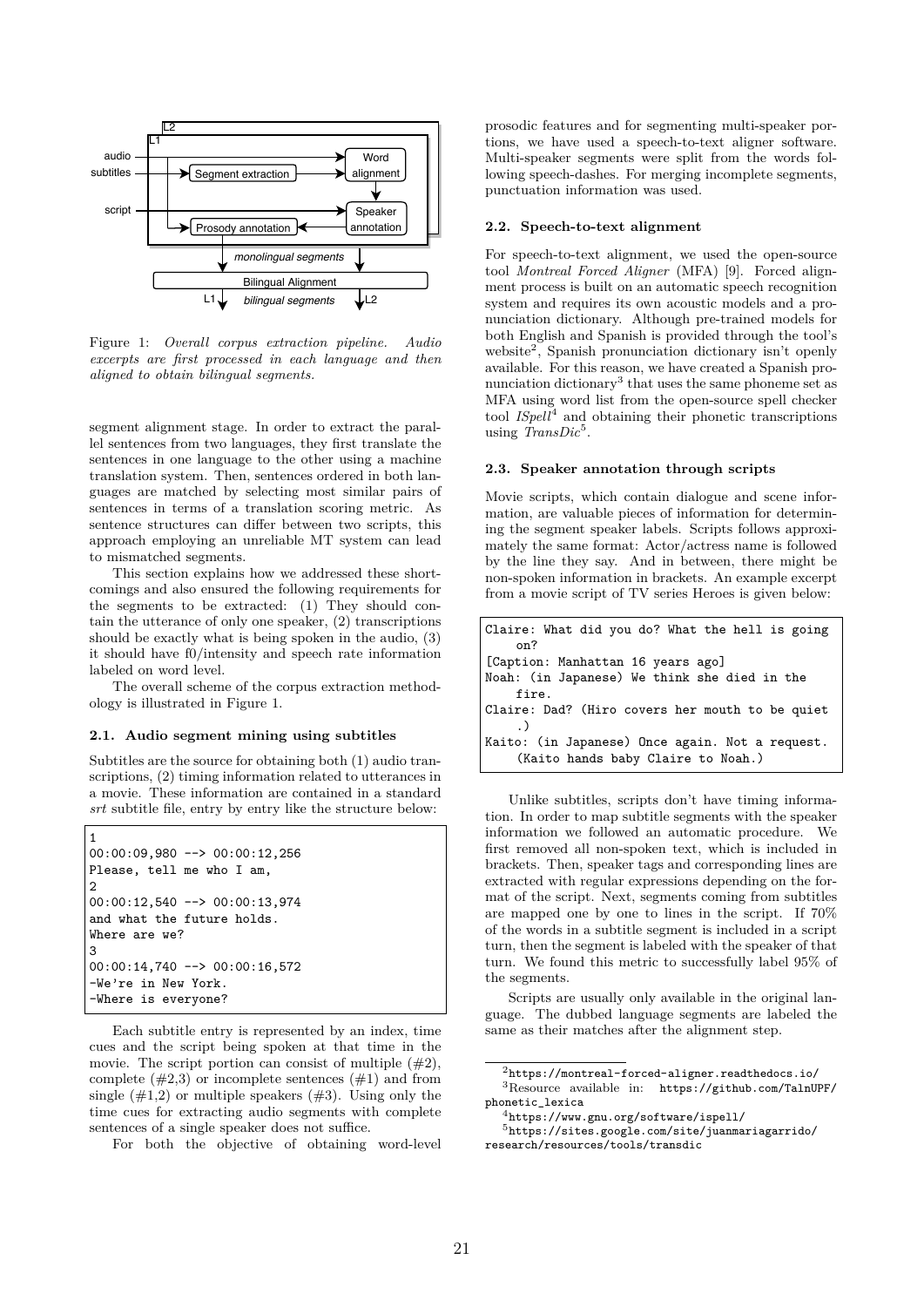

Figure 1: *Overall corpus extraction pipeline. Audio excerpts are first processed in each language and then aligned to obtain bilingual segments.*

segment alignment stage. In order to extract the parallel sentences from two languages, they first translate the sentences in one language to the other using a machine translation system. Then, sentences ordered in both languages are matched by selecting most similar pairs of sentences in terms of a translation scoring metric. As sentence structures can differ between two scripts, this approach employing an unreliable MT system can lead to mismatched segments.

This section explains how we addressed these shortcomings and also ensured the following requirements for the segments to be extracted: (1) They should contain the utterance of only one speaker, (2) transcriptions should be exactly what is being spoken in the audio, (3) it should have f0/intensity and speech rate information labeled on word level.

The overall scheme of the corpus extraction methodology is illustrated in Figure 1.

#### **2.1. Audio segment mining using subtitles**

Subtitles are the source for obtaining both (1) audio transcriptions, (2) timing information related to utterances in a movie. These information are contained in a standard *srt* subtitle file, entry by entry like the structure below:

```
00:00:09,980 --> 00:00:12,256
Please, tell me who I am,
\mathcal{P}00:00:12,540 --> 00:00:13,974
and what the future holds.
Where are we?
3
00:00:14,740 --> 00:00:16,572
-We're in New York.
-Where is everyone?
```
1

Each subtitle entry is represented by an index, time cues and the script being spoken at that time in the movie. The script portion can consist of multiple  $(\#2)$ , complete  $(\#2,3)$  or incomplete sentences  $(\#1)$  and from single  $(\#1,2)$  or multiple speakers  $(\#3)$ . Using only the time cues for extracting audio segments with complete sentences of a single speaker does not suffice.

For both the objective of obtaining word-level

prosodic features and for segmenting multi-speaker portions, we have used a speech-to-text aligner software. Multi-speaker segments were split from the words following speech-dashes. For merging incomplete segments, punctuation information was used.

#### **2.2. Speech-to-text alignment**

For speech-to-text alignment, we used the open-source tool *Montreal Forced Aligner* (MFA) [9]. Forced alignment process is built on an automatic speech recognition system and requires its own acoustic models and a pronunciation dictionary. Although pre-trained models for both English and Spanish is provided through the tool's website<sup>2</sup>, Spanish pronunciation dictionary isn't openly available. For this reason, we have created a Spanish pronunciation dictionary<sup>3</sup> that uses the same phoneme set as MFA using word list from the open-source spell checker tool *ISpell*<sup>4</sup> and obtaining their phonetic transcriptions using *TransDic*<sup>5</sup>.

#### **2.3. Speaker annotation through scripts**

Movie scripts, which contain dialogue and scene information, are valuable pieces of information for determining the segment speaker labels. Scripts follows approximately the same format: Actor/actress name is followed by the line they say. And in between, there might be non-spoken information in brackets. An example excerpt from a movie script of TV series Heroes is given below:

| Claire: What did you do? What the hell is going |
|-------------------------------------------------|
| on?                                             |
| [Caption: Manhattan 16 years ago]               |
| Noah: (in Japanese) We think she died in the    |
| fire.                                           |
| Claire: Dad? (Hiro covers her mouth to be quiet |
|                                                 |
| Kaito: (in Japanese) Once again. Not a request. |
| (Kaito hands baby Claire to Noah.)              |

Unlike subtitles, scripts don't have timing information. In order to map subtitle segments with the speaker information we followed an automatic procedure. We first removed all non-spoken text, which is included in brackets. Then, speaker tags and corresponding lines are extracted with regular expressions depending on the format of the script. Next, segments coming from subtitles are mapped one by one to lines in the script. If 70% of the words in a subtitle segment is included in a script turn, then the segment is labeled with the speaker of that turn. We found this metric to successfully label 95% of the segments.

Scripts are usually only available in the original language. The dubbed language segments are labeled the same as their matches after the alignment step.

 $2$ https://montreal-forced-aligner.readthedocs.io/ <sup>3</sup>Resource available in: https://github.com/TalnUPF/ phonetic\_lexica

 $4$ https://www.gnu.org/software/ispell/

<sup>5</sup>https://sites.google.com/site/juanmariagarrido/ research/resources/tools/transdic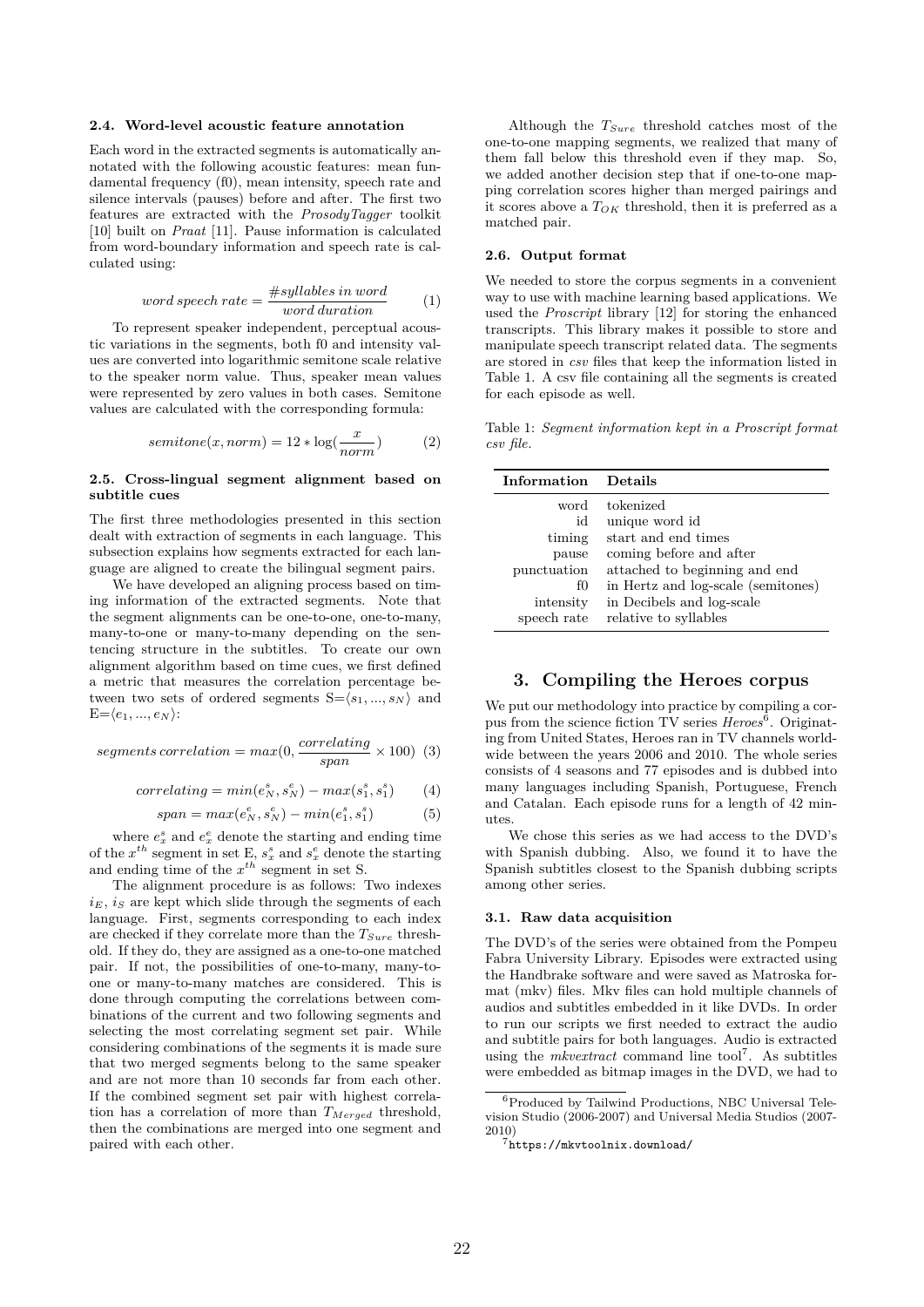#### **2.4. Word-level acoustic feature annotation**

Each word in the extracted segments is automatically annotated with the following acoustic features: mean fundamental frequency (f0), mean intensity, speech rate and silence intervals (pauses) before and after. The first two features are extracted with the *ProsodyTagger* toolkit [10] built on *Praat* [11]. Pause information is calculated from word-boundary information and speech rate is calculated using:

$$
word\ speech\ rate = \frac{\#syllables\ in\ word}{word\ duration} \tag{1}
$$

To represent speaker independent, perceptual acoustic variations in the segments, both f0 and intensity values are converted into logarithmic semitone scale relative to the speaker norm value. Thus, speaker mean values were represented by zero values in both cases. Semitone values are calculated with the corresponding formula:

$$
semitone(x, norm) = 12 * \log(\frac{x}{norm})
$$
 (2)

#### **2.5. Cross-lingual segment alignment based on subtitle cues**

The first three methodologies presented in this section dealt with extraction of segments in each language. This subsection explains how segments extracted for each language are aligned to create the bilingual segment pairs.

We have developed an aligning process based on timing information of the extracted segments. Note that the segment alignments can be one-to-one, one-to-many, many-to-one or many-to-many depending on the sentencing structure in the subtitles. To create our own alignment algorithm based on time cues, we first defined a metric that measures the correlation percentage between two sets of ordered segments  $S = \langle s_1, ..., s_N \rangle$  and  $E = \langle e_1, ..., e_N \rangle$ :

$$
segments\, constant) = max(0, \frac{correlating}{span} \times 100) \tag{3}
$$

$$
correlating = min(e_N^s, s_N^e) - max(s_1^s, s_1^s) \qquad (4)
$$

$$
span = max(e_N^e, s_N^e) - min(e_1^s, s_1^s)
$$
 (5)

where  $e_x^s$  and  $e_x^e$  denote the starting and ending time of the  $x^{th}$  segment in set E,  $s_x^s$  and  $s_x^e$  denote the starting and ending time of the *x th* segment in set S.

The alignment procedure is as follows: Two indexes  $i_E$ ,  $i_S$  are kept which slide through the segments of each language. First, segments corresponding to each index are checked if they correlate more than the *TSure* threshold. If they do, they are assigned as a one-to-one matched pair. If not, the possibilities of one-to-many, many-toone or many-to-many matches are considered. This is done through computing the correlations between combinations of the current and two following segments and selecting the most correlating segment set pair. While considering combinations of the segments it is made sure that two merged segments belong to the same speaker and are not more than 10 seconds far from each other. If the combined segment set pair with highest correlation has a correlation of more than *TMerged* threshold, then the combinations are merged into one segment and paired with each other.

Although the *TSure* threshold catches most of the one-to-one mapping segments, we realized that many of them fall below this threshold even if they map. So, we added another decision step that if one-to-one mapping correlation scores higher than merged pairings and it scores above a *TOK* threshold, then it is preferred as a matched pair.

#### **2.6. Output format**

We needed to store the corpus segments in a convenient way to use with machine learning based applications. We used the *Proscript* library [12] for storing the enhanced transcripts. This library makes it possible to store and manipulate speech transcript related data. The segments are stored in *csv* files that keep the information listed in Table 1. A csv file containing all the segments is created for each episode as well.

Table 1: *Segment information kept in a Proscript format csv file.*

| Information | Details                            |
|-------------|------------------------------------|
| word        | tokenized                          |
| id          | unique word id                     |
| timing      | start and end times                |
| pause       | coming before and after            |
| punctuation | attached to beginning and end      |
| fO          | in Hertz and log-scale (semitones) |
| intensity   | in Decibels and log-scale          |
| speech rate | relative to syllables              |

# **3. Compiling the Heroes corpus**

We put our methodology into practice by compiling a corpus from the science fiction TV series *Heroes*<sup>6</sup>. Originating from United States, Heroes ran in TV channels worldwide between the years 2006 and 2010. The whole series consists of 4 seasons and 77 episodes and is dubbed into many languages including Spanish, Portuguese, French and Catalan. Each episode runs for a length of 42 minutes.

We chose this series as we had access to the DVD's with Spanish dubbing. Also, we found it to have the Spanish subtitles closest to the Spanish dubbing scripts among other series.

#### **3.1. Raw data acquisition**

The DVD's of the series were obtained from the Pompeu Fabra University Library. Episodes were extracted using the Handbrake software and were saved as Matroska format (mkv) files. Mkv files can hold multiple channels of audios and subtitles embedded in it like DVDs. In order to run our scripts we first needed to extract the audio and subtitle pairs for both languages. Audio is extracted using the *mkvextract* command line tool<sup>7</sup>. As subtitles were embedded as bitmap images in the DVD, we had to

<sup>6</sup>Produced by Tailwind Productions, NBC Universal Television Studio (2006-2007) and Universal Media Studios (2007- 2010)

<sup>7</sup>https://mkvtoolnix.download/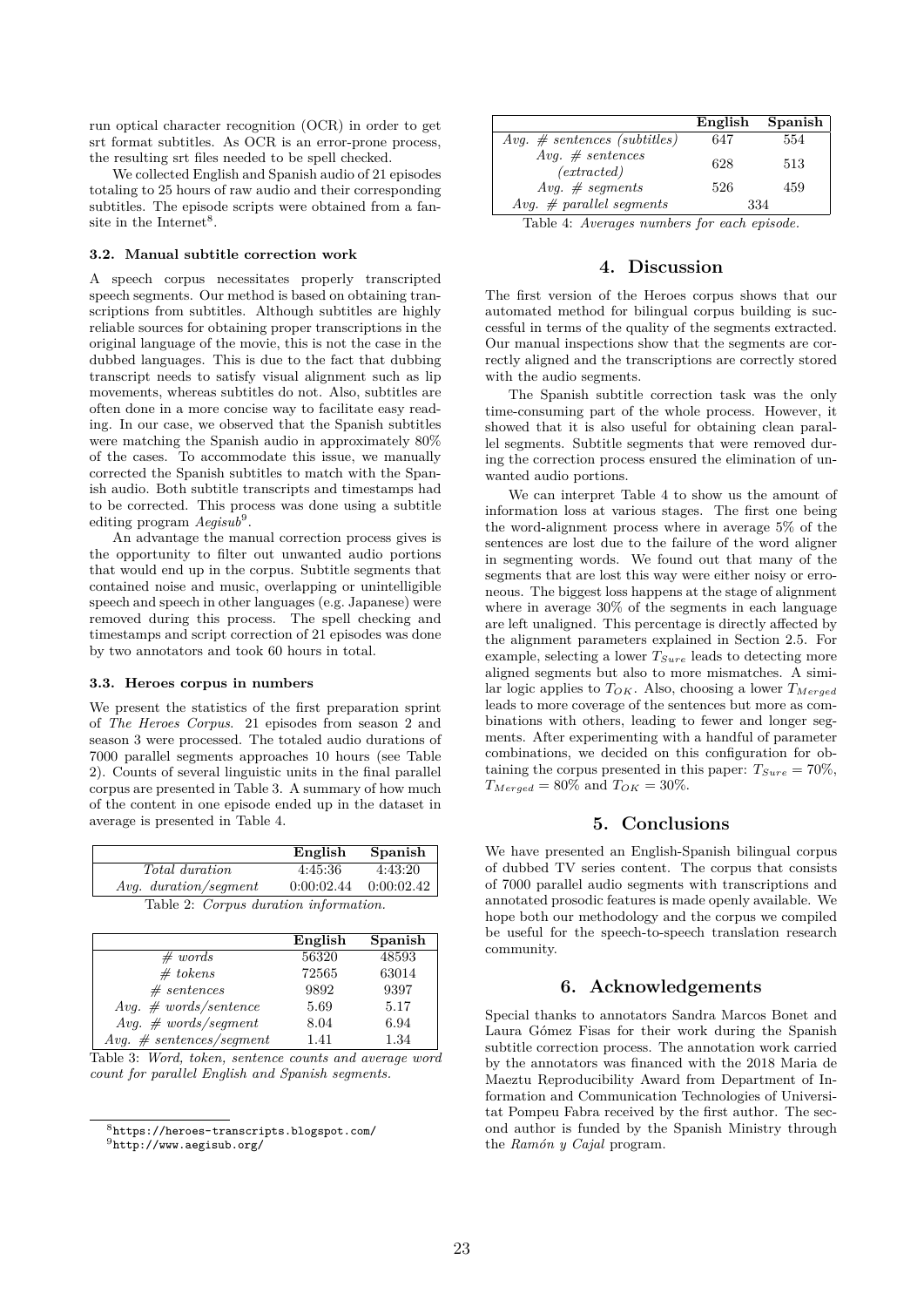run optical character recognition (OCR) in order to get srt format subtitles. As OCR is an error-prone process, the resulting srt files needed to be spell checked.

We collected English and Spanish audio of 21 episodes totaling to 25 hours of raw audio and their corresponding subtitles. The episode scripts were obtained from a fansite in the Internet<sup>8</sup>.

#### **3.2. Manual subtitle correction work**

A speech corpus necessitates properly transcripted speech segments. Our method is based on obtaining transcriptions from subtitles. Although subtitles are highly reliable sources for obtaining proper transcriptions in the original language of the movie, this is not the case in the dubbed languages. This is due to the fact that dubbing transcript needs to satisfy visual alignment such as lip movements, whereas subtitles do not. Also, subtitles are often done in a more concise way to facilitate easy reading. In our case, we observed that the Spanish subtitles were matching the Spanish audio in approximately 80% of the cases. To accommodate this issue, we manually corrected the Spanish subtitles to match with the Spanish audio. Both subtitle transcripts and timestamps had to be corrected. This process was done using a subtitle editing program  $Aegisub<sup>9</sup>$ .

An advantage the manual correction process gives is the opportunity to filter out unwanted audio portions that would end up in the corpus. Subtitle segments that contained noise and music, overlapping or unintelligible speech and speech in other languages (e.g. Japanese) were removed during this process. The spell checking and timestamps and script correction of 21 episodes was done by two annotators and took 60 hours in total.

#### **3.3. Heroes corpus in numbers**

We present the statistics of the first preparation sprint of *The Heroes Corpus*. 21 episodes from season 2 and season 3 were processed. The totaled audio durations of 7000 parallel segments approaches 10 hours (see Table 2). Counts of several linguistic units in the final parallel corpus are presented in Table 3. A summary of how much of the content in one episode ended up in the dataset in average is presented in Table 4.

|                                       | English    | Spanish    |  |  |
|---------------------------------------|------------|------------|--|--|
| <i>Total duration</i>                 | 4:45:36    | 4:43:20    |  |  |
| <i>Avg.</i> duration/seqment          | 0:00:02.44 | 0:00:02.42 |  |  |
| Table 2: Corpus duration information. |            |            |  |  |

|                             | English | Spanish |
|-----------------------------|---------|---------|
| # words                     | 56320   | 48593   |
| # tokens                    | 72565   | 63014   |
| # sentences                 | 9892    | 9397    |
| $Avg. \# words/sentence$    | 5.69    | 5.17    |
| $Avg. \# words/segment$     | 8.04    | 6.94    |
| $Avg. \# sentences/segment$ | 1.41    | 1.34    |

Table 3: *Word, token, sentence counts and average word count for parallel English and Spanish segments.*

|                                    | English | Spanish |
|------------------------------------|---------|---------|
| $Avg. \# sentences (subtitles)$    | 647     | 554     |
| $Avg. \# sentences$<br>(extracted) | 628     | 513     |
| Avg. $#$ segments                  | 526     | 459     |
| Avg. $\#$ parallel segments        | 334     |         |
| $\overline{1}$                     |         |         |

Table 4: *Averages numbers for each episode.*

# **4. Discussion**

The first version of the Heroes corpus shows that our automated method for bilingual corpus building is successful in terms of the quality of the segments extracted. Our manual inspections show that the segments are correctly aligned and the transcriptions are correctly stored with the audio segments.

The Spanish subtitle correction task was the only time-consuming part of the whole process. However, it showed that it is also useful for obtaining clean parallel segments. Subtitle segments that were removed during the correction process ensured the elimination of unwanted audio portions.

We can interpret Table 4 to show us the amount of information loss at various stages. The first one being the word-alignment process where in average 5% of the sentences are lost due to the failure of the word aligner in segmenting words. We found out that many of the segments that are lost this way were either noisy or erroneous. The biggest loss happens at the stage of alignment where in average 30% of the segments in each language are left unaligned. This percentage is directly affected by the alignment parameters explained in Section 2.5. For example, selecting a lower *TSure* leads to detecting more aligned segments but also to more mismatches. A similar logic applies to *TOK*. Also, choosing a lower *TMerged* leads to more coverage of the sentences but more as combinations with others, leading to fewer and longer segments. After experimenting with a handful of parameter combinations, we decided on this configuration for obtaining the corpus presented in this paper:  $T_{Sure} = 70\%$ ,  $T_{Merged} = 80\%$  and  $T_{OK} = 30\%.$ 

### **5. Conclusions**

We have presented an English-Spanish bilingual corpus of dubbed TV series content. The corpus that consists of 7000 parallel audio segments with transcriptions and annotated prosodic features is made openly available. We hope both our methodology and the corpus we compiled be useful for the speech-to-speech translation research community.

### **6. Acknowledgements**

Special thanks to annotators Sandra Marcos Bonet and Laura Gómez Fisas for their work during the Spanish subtitle correction process. The annotation work carried by the annotators was financed with the 2018 Maria de Maeztu Reproducibility Award from Department of Information and Communication Technologies of Universitat Pompeu Fabra received by the first author. The second author is funded by the Spanish Ministry through the *Ram´on y Cajal* program.

<sup>8</sup>https://heroes-transcripts.blogspot.com/  $9$ http://www.aegisub.org/